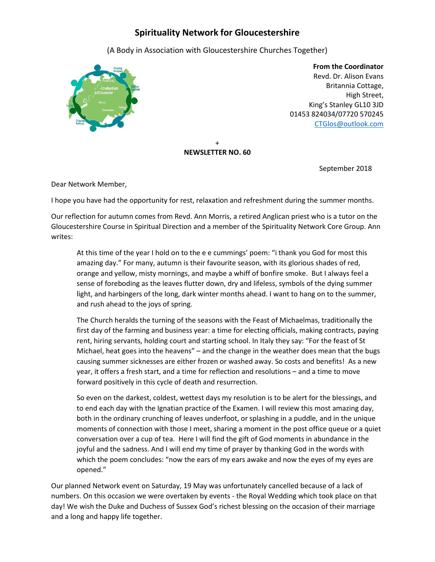# **Spirituality Network for Gloucestershire**

(A Body in Association with Gloucestershire Churches Together)



 **From the Coordinator** Revd. Dr. Alison Evans Britannia Cottage, High Street, King's Stanley GL10 3JD 01453 824034/07720 570245 [CTGlos@outlook.com](mailto:CTGlos@outlook.com)

#### + **NEWSLETTER NO. 60**

September 2018

Dear Network Member,

I hope you have had the opportunity for rest, relaxation and refreshment during the summer months.

Our reflection for autumn comes from Revd. Ann Morris, a retired Anglican priest who is a tutor on the Gloucestershire Course in Spiritual Direction and a member of the Spirituality Network Core Group. Ann writes:

At this time of the year I hold on to the e e cummings' poem: "i thank you God for most this amazing day." For many, autumn is their favourite season, with its glorious shades of red, orange and yellow, misty mornings, and maybe a whiff of bonfire smoke. But I always feel a sense of foreboding as the leaves flutter down, dry and lifeless, symbols of the dying summer light, and harbingers of the long, dark winter months ahead. I want to hang on to the summer, and rush ahead to the joys of spring.

The Church heralds the turning of the seasons with the Feast of Michaelmas, traditionally the first day of the farming and business year: a time for electing officials, making contracts, paying rent, hiring servants, holding court and starting school. In Italy they say: "For the feast of St Michael, heat goes into the heavens" – and the change in the weather does mean that the bugs causing summer sicknesses are either frozen or washed away. So costs and benefits! As a new year, it offers a fresh start, and a time for reflection and resolutions – and a time to move forward positively in this cycle of death and resurrection.

So even on the darkest, coldest, wettest days my resolution is to be alert for the blessings, and to end each day with the Ignatian practice of the Examen. I will review this most amazing day, both in the ordinary crunching of leaves underfoot, or splashing in a puddle, and in the unique moments of connection with those I meet, sharing a moment in the post office queue or a quiet conversation over a cup of tea. Here I will find the gift of God moments in abundance in the joyful and the sadness. And I will end my time of prayer by thanking God in the words with which the poem concludes: "now the ears of my ears awake and now the eyes of my eyes are opened."

Our planned Network event on Saturday, 19 May was unfortunately cancelled because of a lack of numbers. On this occasion we were overtaken by events - the Royal Wedding which took place on that day! We wish the Duke and Duchess of Sussex God's richest blessing on the occasion of their marriage and a long and happy life together.